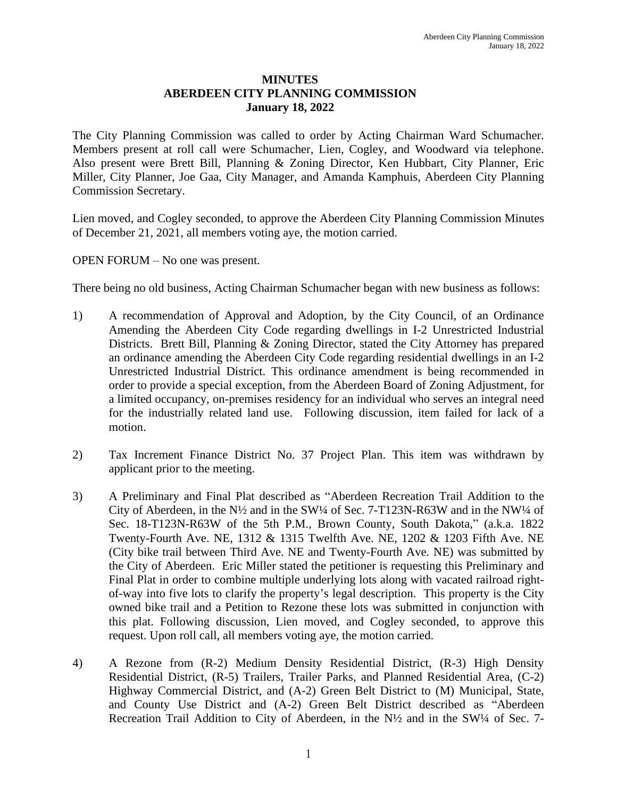## **MINUTES ABERDEEN CITY PLANNING COMMISSION January 18, 2022**

The City Planning Commission was called to order by Acting Chairman Ward Schumacher. Members present at roll call were Schumacher, Lien, Cogley, and Woodward via telephone. Also present were Brett Bill, Planning & Zoning Director, Ken Hubbart, City Planner, Eric Miller, City Planner, Joe Gaa, City Manager, and Amanda Kamphuis, Aberdeen City Planning Commission Secretary.

Lien moved, and Cogley seconded, to approve the Aberdeen City Planning Commission Minutes of December 21, 2021, all members voting aye, the motion carried.

OPEN FORUM – No one was present.

There being no old business, Acting Chairman Schumacher began with new business as follows:

- 1) A recommendation of Approval and Adoption, by the City Council, of an Ordinance Amending the Aberdeen City Code regarding dwellings in I-2 Unrestricted Industrial Districts. Brett Bill, Planning & Zoning Director, stated the City Attorney has prepared an ordinance amending the Aberdeen City Code regarding residential dwellings in an I-2 Unrestricted Industrial District. This ordinance amendment is being recommended in order to provide a special exception, from the Aberdeen Board of Zoning Adjustment, for a limited occupancy, on-premises residency for an individual who serves an integral need for the industrially related land use. Following discussion, item failed for lack of a motion.
- 2) Tax Increment Finance District No. 37 Project Plan. This item was withdrawn by applicant prior to the meeting.
- 3) A Preliminary and Final Plat described as "Aberdeen Recreation Trail Addition to the City of Aberdeen, in the N½ and in the SW¼ of Sec. 7-T123N-R63W and in the NW¼ of Sec. 18-T123N-R63W of the 5th P.M., Brown County, South Dakota," (a.k.a. 1822 Twenty-Fourth Ave. NE, 1312 & 1315 Twelfth Ave. NE, 1202 & 1203 Fifth Ave. NE (City bike trail between Third Ave. NE and Twenty-Fourth Ave. NE) was submitted by the City of Aberdeen. Eric Miller stated the petitioner is requesting this Preliminary and Final Plat in order to combine multiple underlying lots along with vacated railroad rightof-way into five lots to clarify the property's legal description. This property is the City owned bike trail and a Petition to Rezone these lots was submitted in conjunction with this plat. Following discussion, Lien moved, and Cogley seconded, to approve this request. Upon roll call, all members voting aye, the motion carried.
- 4) A Rezone from (R-2) Medium Density Residential District, (R-3) High Density Residential District, (R-5) Trailers, Trailer Parks, and Planned Residential Area, (C-2) Highway Commercial District, and (A-2) Green Belt District to (M) Municipal, State, and County Use District and (A-2) Green Belt District described as "Aberdeen Recreation Trail Addition to City of Aberdeen, in the N<sup>1</sup>/<sub>2</sub> and in the SW<sup>1</sup>/<sub>4</sub> of Sec. 7-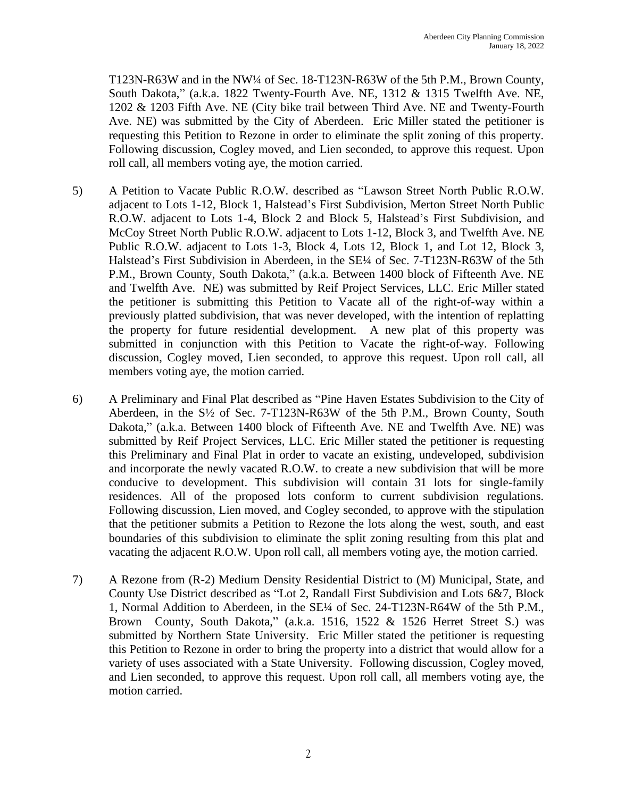T123N-R63W and in the NW¼ of Sec. 18-T123N-R63W of the 5th P.M., Brown County, South Dakota," (a.k.a. 1822 Twenty-Fourth Ave. NE, 1312 & 1315 Twelfth Ave. NE, 1202 & 1203 Fifth Ave. NE (City bike trail between Third Ave. NE and Twenty-Fourth Ave. NE) was submitted by the City of Aberdeen. Eric Miller stated the petitioner is requesting this Petition to Rezone in order to eliminate the split zoning of this property. Following discussion, Cogley moved, and Lien seconded, to approve this request. Upon roll call, all members voting aye, the motion carried.

- 5) A Petition to Vacate Public R.O.W. described as "Lawson Street North Public R.O.W. adjacent to Lots 1-12, Block 1, Halstead's First Subdivision, Merton Street North Public R.O.W. adjacent to Lots 1-4, Block 2 and Block 5, Halstead's First Subdivision, and McCoy Street North Public R.O.W. adjacent to Lots 1-12, Block 3, and Twelfth Ave. NE Public R.O.W. adjacent to Lots 1-3, Block 4, Lots 12, Block 1, and Lot 12, Block 3, Halstead's First Subdivision in Aberdeen, in the SE¼ of Sec. 7-T123N-R63W of the 5th P.M., Brown County, South Dakota," (a.k.a. Between 1400 block of Fifteenth Ave. NE and Twelfth Ave. NE) was submitted by Reif Project Services, LLC. Eric Miller stated the petitioner is submitting this Petition to Vacate all of the right-of-way within a previously platted subdivision, that was never developed, with the intention of replatting the property for future residential development. A new plat of this property was submitted in conjunction with this Petition to Vacate the right-of-way. Following discussion, Cogley moved, Lien seconded, to approve this request. Upon roll call, all members voting aye, the motion carried.
- 6) A Preliminary and Final Plat described as "Pine Haven Estates Subdivision to the City of Aberdeen, in the S½ of Sec. 7-T123N-R63W of the 5th P.M., Brown County, South Dakota," (a.k.a. Between 1400 block of Fifteenth Ave. NE and Twelfth Ave. NE) was submitted by Reif Project Services, LLC. Eric Miller stated the petitioner is requesting this Preliminary and Final Plat in order to vacate an existing, undeveloped, subdivision and incorporate the newly vacated R.O.W. to create a new subdivision that will be more conducive to development. This subdivision will contain 31 lots for single-family residences. All of the proposed lots conform to current subdivision regulations. Following discussion, Lien moved, and Cogley seconded, to approve with the stipulation that the petitioner submits a Petition to Rezone the lots along the west, south, and east boundaries of this subdivision to eliminate the split zoning resulting from this plat and vacating the adjacent R.O.W. Upon roll call, all members voting aye, the motion carried.
- 7) A Rezone from (R-2) Medium Density Residential District to (M) Municipal, State, and County Use District described as "Lot 2, Randall First Subdivision and Lots 6&7, Block 1, Normal Addition to Aberdeen, in the SE¼ of Sec. 24-T123N-R64W of the 5th P.M., Brown County, South Dakota," (a.k.a. 1516, 1522 & 1526 Herret Street S.) was submitted by Northern State University. Eric Miller stated the petitioner is requesting this Petition to Rezone in order to bring the property into a district that would allow for a variety of uses associated with a State University. Following discussion, Cogley moved, and Lien seconded, to approve this request. Upon roll call, all members voting aye, the motion carried.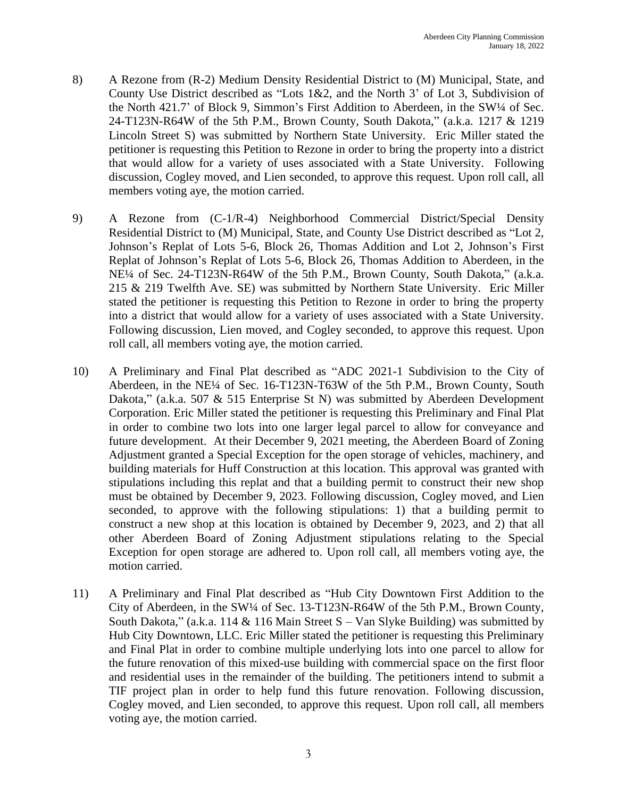- 8) A Rezone from (R-2) Medium Density Residential District to (M) Municipal, State, and County Use District described as "Lots 1&2, and the North 3' of Lot 3, Subdivision of the North 421.7' of Block 9, Simmon's First Addition to Aberdeen, in the SW¼ of Sec. 24-T123N-R64W of the 5th P.M., Brown County, South Dakota," (a.k.a. 1217 & 1219 Lincoln Street S) was submitted by Northern State University. Eric Miller stated the petitioner is requesting this Petition to Rezone in order to bring the property into a district that would allow for a variety of uses associated with a State University. Following discussion, Cogley moved, and Lien seconded, to approve this request. Upon roll call, all members voting aye, the motion carried.
- 9) A Rezone from (C-1/R-4) Neighborhood Commercial District/Special Density Residential District to (M) Municipal, State, and County Use District described as "Lot 2, Johnson's Replat of Lots 5-6, Block 26, Thomas Addition and Lot 2, Johnson's First Replat of Johnson's Replat of Lots 5-6, Block 26, Thomas Addition to Aberdeen, in the NE¼ of Sec. 24-T123N-R64W of the 5th P.M., Brown County, South Dakota," (a.k.a. 215 & 219 Twelfth Ave. SE) was submitted by Northern State University. Eric Miller stated the petitioner is requesting this Petition to Rezone in order to bring the property into a district that would allow for a variety of uses associated with a State University. Following discussion, Lien moved, and Cogley seconded, to approve this request. Upon roll call, all members voting aye, the motion carried.
- 10) A Preliminary and Final Plat described as "ADC 2021-1 Subdivision to the City of Aberdeen, in the NE¼ of Sec. 16-T123N-T63W of the 5th P.M., Brown County, South Dakota," (a.k.a. 507 & 515 Enterprise St N) was submitted by Aberdeen Development Corporation. Eric Miller stated the petitioner is requesting this Preliminary and Final Plat in order to combine two lots into one larger legal parcel to allow for conveyance and future development. At their December 9, 2021 meeting, the Aberdeen Board of Zoning Adjustment granted a Special Exception for the open storage of vehicles, machinery, and building materials for Huff Construction at this location. This approval was granted with stipulations including this replat and that a building permit to construct their new shop must be obtained by December 9, 2023. Following discussion, Cogley moved, and Lien seconded, to approve with the following stipulations: 1) that a building permit to construct a new shop at this location is obtained by December 9, 2023, and 2) that all other Aberdeen Board of Zoning Adjustment stipulations relating to the Special Exception for open storage are adhered to. Upon roll call, all members voting aye, the motion carried.
- 11) A Preliminary and Final Plat described as "Hub City Downtown First Addition to the City of Aberdeen, in the SW¼ of Sec. 13-T123N-R64W of the 5th P.M., Brown County, South Dakota," (a.k.a. 114  $&$  116 Main Street S – Van Slyke Building) was submitted by Hub City Downtown, LLC. Eric Miller stated the petitioner is requesting this Preliminary and Final Plat in order to combine multiple underlying lots into one parcel to allow for the future renovation of this mixed-use building with commercial space on the first floor and residential uses in the remainder of the building. The petitioners intend to submit a TIF project plan in order to help fund this future renovation. Following discussion, Cogley moved, and Lien seconded, to approve this request. Upon roll call, all members voting aye, the motion carried.